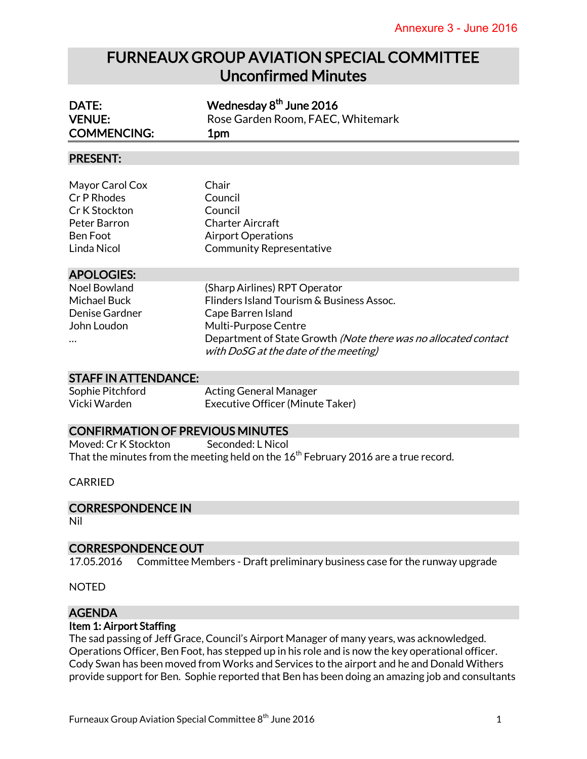# FURNEAUX GROUP AVIATION SPECIAL COMMITTEE Unconfirmed Minutes

| DATE:                                                                                             | Wednesday 8 <sup>th</sup> June 2016                                                                                                                                                                                                         |
|---------------------------------------------------------------------------------------------------|---------------------------------------------------------------------------------------------------------------------------------------------------------------------------------------------------------------------------------------------|
| <b>VENUE:</b><br><b>COMMENCING:</b>                                                               | Rose Garden Room, FAEC, Whitemark<br>1pm                                                                                                                                                                                                    |
|                                                                                                   |                                                                                                                                                                                                                                             |
| <b>PRESENT:</b>                                                                                   |                                                                                                                                                                                                                                             |
| Mayor Carol Cox<br>Cr P Rhodes<br>Cr K Stockton<br>Peter Barron<br><b>Ben Foot</b><br>Linda Nicol | Chair<br>Council<br>Council<br><b>Charter Aircraft</b><br><b>Airport Operations</b><br><b>Community Representative</b>                                                                                                                      |
| <b>APOLOGIES:</b>                                                                                 |                                                                                                                                                                                                                                             |
| <b>Noel Bowland</b><br><b>Michael Buck</b><br>Denise Gardner<br>John Loudon                       | (Sharp Airlines) RPT Operator<br>Flinders Island Tourism & Business Assoc.<br>Cape Barren Island<br><b>Multi-Purpose Centre</b><br>Department of State Growth (Note there was no allocated contact<br>with DoSG at the date of the meeting) |
| <b>STAFF IN ATTENDANCE:</b>                                                                       |                                                                                                                                                                                                                                             |
| Sophie Pitchford                                                                                  | Acting General Manager                                                                                                                                                                                                                      |

Sophie Pitchford Acting General Manager Vicki Warden Executive Officer (Minute Taker)

#### CONFIRMATION OF PREVIOUS MINUTES

Moved: Cr K Stockton Seconded: L Nicol That the minutes from the meeting held on the  $16<sup>th</sup>$  February 2016 are a true record.

#### CARRIED

#### CORRESPONDENCE IN

Nil

#### CORRESPONDENCE OUT

17.05.2016 Committee Members - Draft preliminary business case for the runway upgrade

NOTED

## AGENDA

#### Item 1: Airport Staffing

The sad passing of Jeff Grace, Council's Airport Manager of many years, was acknowledged. Operations Officer, Ben Foot, has stepped up in his role and is now the key operational officer. Cody Swan has been moved from Works and Services to the airport and he and Donald Withers provide support for Ben. Sophie reported that Ben has been doing an amazing job and consultants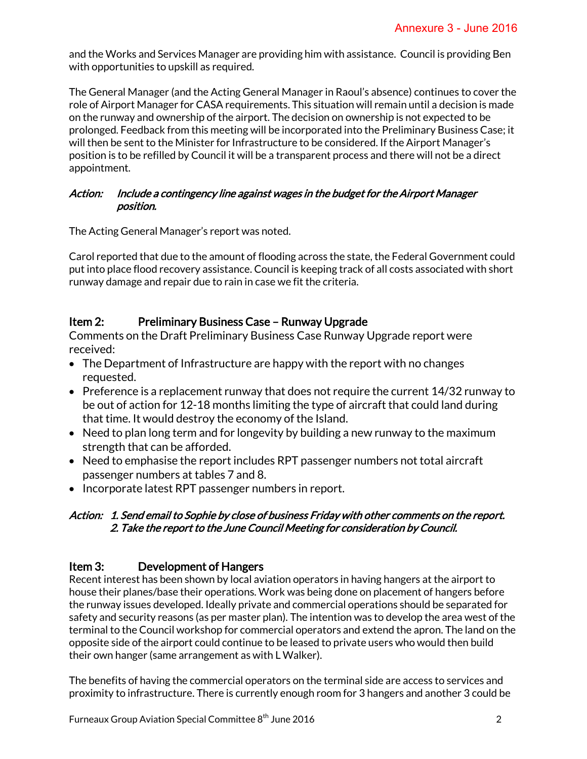and the Works and Services Manager are providing him with assistance. Council is providing Ben with opportunities to upskill as required.

The General Manager (and the Acting General Manager in Raoul's absence) continues to cover the role of Airport Manager for CASA requirements. This situation will remain until a decision is made on the runway and ownership of the airport. The decision on ownership is not expected to be prolonged. Feedback from this meeting will be incorporated into the Preliminary Business Case; it will then be sent to the Minister for Infrastructure to be considered. If the Airport Manager's position is to be refilled by Council it will be a transparent process and there will not be a direct appointment.

#### Action: Include a contingency line against wages in the budget for the Airport Manager position.

The Acting General Manager's report was noted.

Carol reported that due to the amount of flooding across the state, the Federal Government could put into place flood recovery assistance. Council is keeping track of all costs associated with short runway damage and repair due to rain in case we fit the criteria.

## Item 2: Preliminary Business Case – Runway Upgrade

Comments on the Draft Preliminary Business Case Runway Upgrade report were received:

- The Department of Infrastructure are happy with the report with no changes requested.
- $\bullet$  Preference is a replacement runway that does not require the current 14/32 runway to be out of action for 12-18 months limiting the type of aircraft that could land during that time. It would destroy the economy of the Island.
- Need to plan long term and for longevity by building a new runway to the maximum strength that can be afforded.
- Need to emphasise the report includes RPT passenger numbers not total aircraft passenger numbers at tables 7 and 8.
- Incorporate latest RPT passenger numbers in report.

#### Action: 1. Send email to Sophie by close of business Friday with other comments on the report. 2. Take the report to the June Council Meeting for consideration by Council.

## Item 3: Development of Hangers

Recent interest has been shown by local aviation operators in having hangers at the airport to house their planes/base their operations. Work was being done on placement of hangers before the runway issues developed. Ideally private and commercial operations should be separated for safety and security reasons (as per master plan). The intention was to develop the area west of the terminal to the Council workshop for commercial operators and extend the apron. The land on the opposite side of the airport could continue to be leased to private users who would then build their own hanger (same arrangement as with L Walker).

The benefits of having the commercial operators on the terminal side are access to services and proximity to infrastructure. There is currently enough room for 3 hangers and another 3 could be